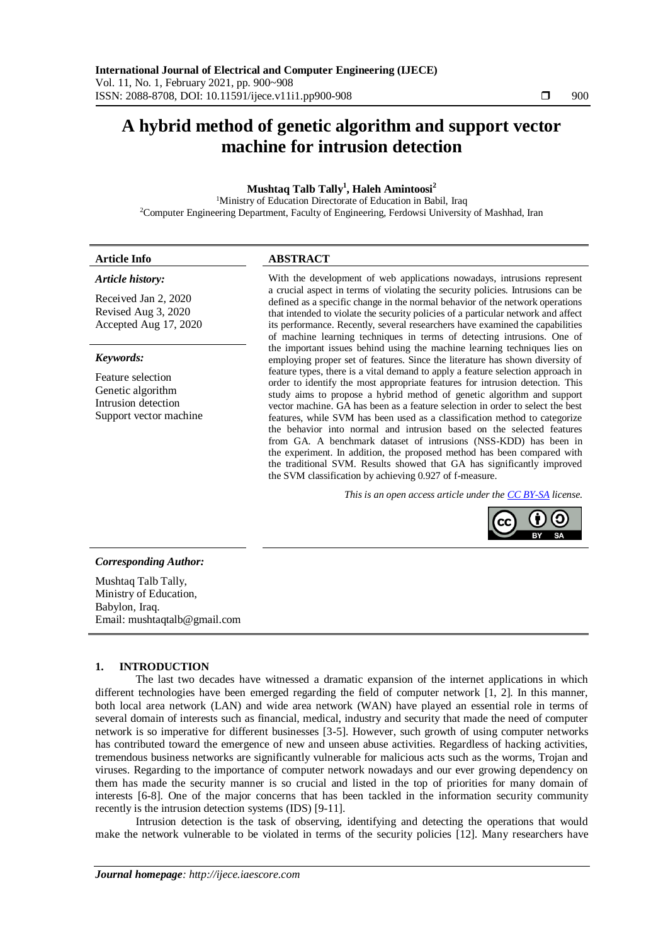# **A hybrid method of genetic algorithm and support vector machine for intrusion detection**

# **Mushtaq Talb Tally<sup>1</sup> , Haleh Amintoosi<sup>2</sup>**

<sup>1</sup>Ministry of Education Directorate of Education in Babil, Iraq <sup>2</sup>Computer Engineering Department, Faculty of Engineering, Ferdowsi University of Mashhad, Iran

| Article Info        | ABSTRACT                                                                                                                                                                 |  |
|---------------------|--------------------------------------------------------------------------------------------------------------------------------------------------------------------------|--|
| Article history:    | With the development of web applications nowadays, intrusions represent                                                                                                  |  |
| Received Ian 2 2020 | a crucial aspect in terms of violating the security policies. Intrusions can be<br>di Moscolo e se contra construito e consecutiu dos tras Adios seu contra seu seu terr |  |

Received Jan 2, 2020 Revised Aug 3, 2020 Accepted Aug 17, 2020

#### *Keywords:*

Feature selection Genetic algorithm Intrusion detection Support vector machine defined as a specific change in the normal behavior of the network operations that intended to violate the security policies of a particular network and affect its performance. Recently, several researchers have examined the capabilities of machine learning techniques in terms of detecting intrusions. One of the important issues behind using the machine learning techniques lies on employing proper set of features. Since the literature has shown diversity of feature types, there is a vital demand to apply a feature selection approach in order to identify the most appropriate features for intrusion detection. This study aims to propose a hybrid method of genetic algorithm and support vector machine. GA has been as a feature selection in order to select the best features, while SVM has been used as a classification method to categorize the behavior into normal and intrusion based on the selected features from GA. A benchmark dataset of intrusions (NSS-KDD) has been in the experiment. In addition, the proposed method has been compared with the traditional SVM. Results showed that GA has significantly improved the SVM classification by achieving 0.927 of f-measure.

*This is an open access article under the [CC BY-SA](https://creativecommons.org/licenses/by-sa/4.0/) license.*



# *Corresponding Author:*

Mushtaq Talb Tally, Ministry of Education, Babylon, Iraq. Email: mushtaqtalb@gmail.com

# **1. INTRODUCTION**

The last two decades have witnessed a dramatic expansion of the internet applications in which different technologies have been emerged regarding the field of computer network [1, 2]. In this manner, both local area network (LAN) and wide area network (WAN) have played an essential role in terms of several domain of interests such as financial, medical, industry and security that made the need of computer network is so imperative for different businesses [3-5]. However, such growth of using computer networks has contributed toward the emergence of new and unseen abuse activities. Regardless of hacking activities, tremendous business networks are significantly vulnerable for malicious acts such as the worms, Trojan and viruses. Regarding to the importance of computer network nowadays and our ever growing dependency on them has made the security manner is so crucial and listed in the top of priorities for many domain of interests [6-8]. One of the major concerns that has been tackled in the information security community recently is the intrusion detection systems (IDS) [9-11].

Intrusion detection is the task of observing, identifying and detecting the operations that would make the network vulnerable to be violated in terms of the security policies [12]. Many researchers have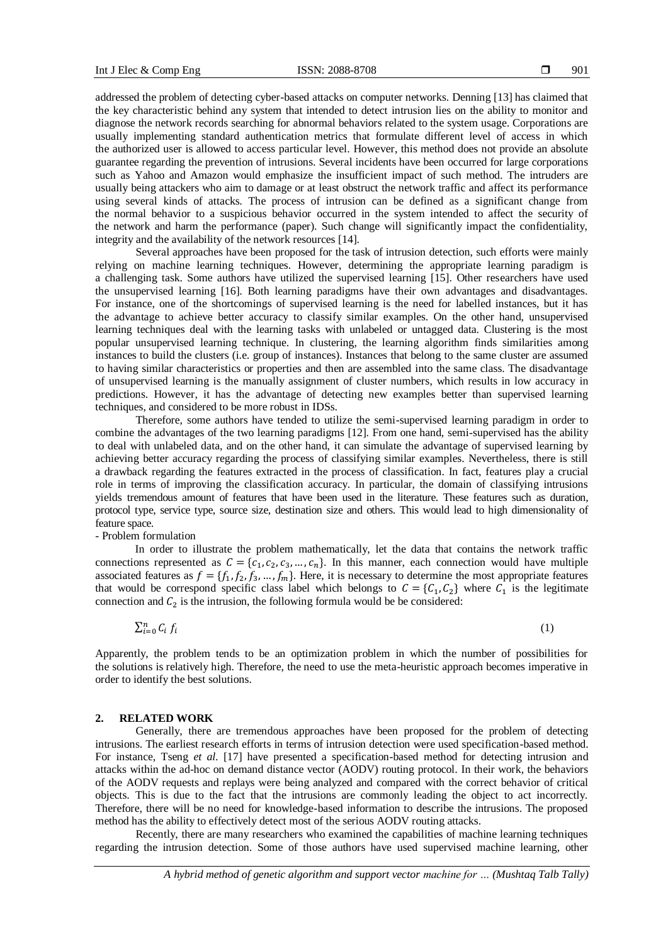addressed the problem of detecting cyber-based attacks on computer networks. Denning [13] has claimed that the key characteristic behind any system that intended to detect intrusion lies on the ability to monitor and diagnose the network records searching for abnormal behaviors related to the system usage. Corporations are usually implementing standard authentication metrics that formulate different level of access in which the authorized user is allowed to access particular level. However, this method does not provide an absolute guarantee regarding the prevention of intrusions. Several incidents have been occurred for large corporations such as Yahoo and Amazon would emphasize the insufficient impact of such method. The intruders are usually being attackers who aim to damage or at least obstruct the network traffic and affect its performance using several kinds of attacks. The process of intrusion can be defined as a significant change from the normal behavior to a suspicious behavior occurred in the system intended to affect the security of the network and harm the performance (paper). Such change will significantly impact the confidentiality, integrity and the availability of the network resources [14].

Several approaches have been proposed for the task of intrusion detection, such efforts were mainly relying on machine learning techniques. However, determining the appropriate learning paradigm is a challenging task. Some authors have utilized the supervised learning [15]. Other researchers have used the unsupervised learning [16]. Both learning paradigms have their own advantages and disadvantages. For instance, one of the shortcomings of supervised learning is the need for labelled instances, but it has the advantage to achieve better accuracy to classify similar examples. On the other hand, unsupervised learning techniques deal with the learning tasks with unlabeled or untagged data. Clustering is the most popular unsupervised learning technique. In clustering, the learning algorithm finds similarities among instances to build the clusters (i.e. group of instances). Instances that belong to the same cluster are assumed to having similar characteristics or properties and then are assembled into the same class. The disadvantage of unsupervised learning is the manually assignment of cluster numbers, which results in low accuracy in predictions. However, it has the advantage of detecting new examples better than supervised learning techniques, and considered to be more robust in IDSs.

Therefore, some authors have tended to utilize the semi-supervised learning paradigm in order to combine the advantages of the two learning paradigms [12]. From one hand, semi-supervised has the ability to deal with unlabeled data, and on the other hand, it can simulate the advantage of supervised learning by achieving better accuracy regarding the process of classifying similar examples. Nevertheless, there is still a drawback regarding the features extracted in the process of classification. In fact, features play a crucial role in terms of improving the classification accuracy. In particular, the domain of classifying intrusions yields tremendous amount of features that have been used in the literature. These features such as duration, protocol type, service type, source size, destination size and others. This would lead to high dimensionality of feature space.

- Problem formulation

In order to illustrate the problem mathematically, let the data that contains the network traffic connections represented as  $C = \{c_1, c_2, c_3, ..., c_n\}$ . In this manner, each connection would have multiple associated features as  $f = \{f_1, f_2, f_3, ..., f_m\}$ . Here, it is necessary to determine the most appropriate features that would be correspond specific class label which belongs to  $C = \{C_1, C_2\}$  where  $C_1$  is the legitimate connection and  $C_2$  is the intrusion, the following formula would be be considered:

$$
\sum_{i=0}^{n} C_i f_i \tag{1}
$$

Apparently, the problem tends to be an optimization problem in which the number of possibilities for the solutions is relatively high. Therefore, the need to use the meta-heuristic approach becomes imperative in order to identify the best solutions.

#### **2. RELATED WORK**

Generally, there are tremendous approaches have been proposed for the problem of detecting intrusions. The earliest research efforts in terms of intrusion detection were used specification-based method. For instance, Tseng *et al*. [17] have presented a specification-based method for detecting intrusion and attacks within the ad-hoc on demand distance vector (AODV) routing protocol. In their work, the behaviors of the AODV requests and replays were being analyzed and compared with the correct behavior of critical objects. This is due to the fact that the intrusions are commonly leading the object to act incorrectly. Therefore, there will be no need for knowledge-based information to describe the intrusions. The proposed method has the ability to effectively detect most of the serious AODV routing attacks.

Recently, there are many researchers who examined the capabilities of machine learning techniques regarding the intrusion detection. Some of those authors have used supervised machine learning, other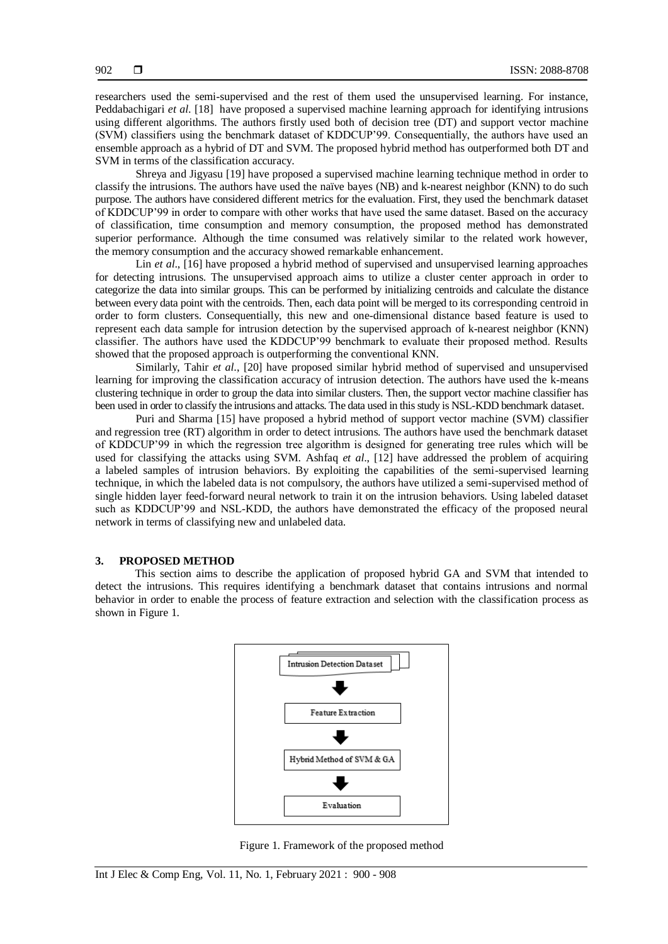researchers used the semi-supervised and the rest of them used the unsupervised learning. For instance, Peddabachigari *et al*. [18] have proposed a supervised machine learning approach for identifying intrusions using different algorithms. The authors firstly used both of decision tree (DT) and support vector machine (SVM) classifiers using the benchmark dataset of KDDCUP'99. Consequentially, the authors have used an ensemble approach as a hybrid of DT and SVM. The proposed hybrid method has outperformed both DT and SVM in terms of the classification accuracy.

Shreya and Jigyasu [19] have proposed a supervised machine learning technique method in order to classify the intrusions. The authors have used the naïve bayes (NB) and k-nearest neighbor (KNN) to do such purpose. The authors have considered different metrics for the evaluation. First, they used the benchmark dataset of KDDCUP'99 in order to compare with other works that have used the same dataset. Based on the accuracy of classification, time consumption and memory consumption, the proposed method has demonstrated superior performance. Although the time consumed was relatively similar to the related work however, the memory consumption and the accuracy showed remarkable enhancement.

Lin *et al.*, [16] have proposed a hybrid method of supervised and unsupervised learning approaches for detecting intrusions. The unsupervised approach aims to utilize a cluster center approach in order to categorize the data into similar groups. This can be performed by initializing centroids and calculate the distance between every data point with the centroids. Then, each data point will be merged to its corresponding centroid in order to form clusters. Consequentially, this new and one-dimensional distance based feature is used to represent each data sample for intrusion detection by the supervised approach of k-nearest neighbor (KNN) classifier. The authors have used the KDDCUP'99 benchmark to evaluate their proposed method. Results showed that the proposed approach is outperforming the conventional KNN.

Similarly, Tahir *et al*., [20] have proposed similar hybrid method of supervised and unsupervised learning for improving the classification accuracy of intrusion detection. The authors have used the k-means clustering technique in order to group the data into similar clusters. Then, the support vector machine classifier has been used in order to classify the intrusions and attacks. The data used in this study is NSL-KDD benchmark dataset.

Puri and Sharma [15] have proposed a hybrid method of support vector machine (SVM) classifier and regression tree (RT) algorithm in order to detect intrusions. The authors have used the benchmark dataset of KDDCUP'99 in which the regression tree algorithm is designed for generating tree rules which will be used for classifying the attacks using SVM. Ashfaq *et al*., [12] have addressed the problem of acquiring a labeled samples of intrusion behaviors. By exploiting the capabilities of the semi-supervised learning technique, in which the labeled data is not compulsory, the authors have utilized a semi-supervised method of single hidden layer feed-forward neural network to train it on the intrusion behaviors. Using labeled dataset such as KDDCUP'99 and NSL-KDD, the authors have demonstrated the efficacy of the proposed neural network in terms of classifying new and unlabeled data.

#### **3. PROPOSED METHOD**

This section aims to describe the application of proposed hybrid GA and SVM that intended to detect the intrusions. This requires identifying a benchmark dataset that contains intrusions and normal behavior in order to enable the process of feature extraction and selection with the classification process as shown in Figure 1.



Figure 1. Framework of the proposed method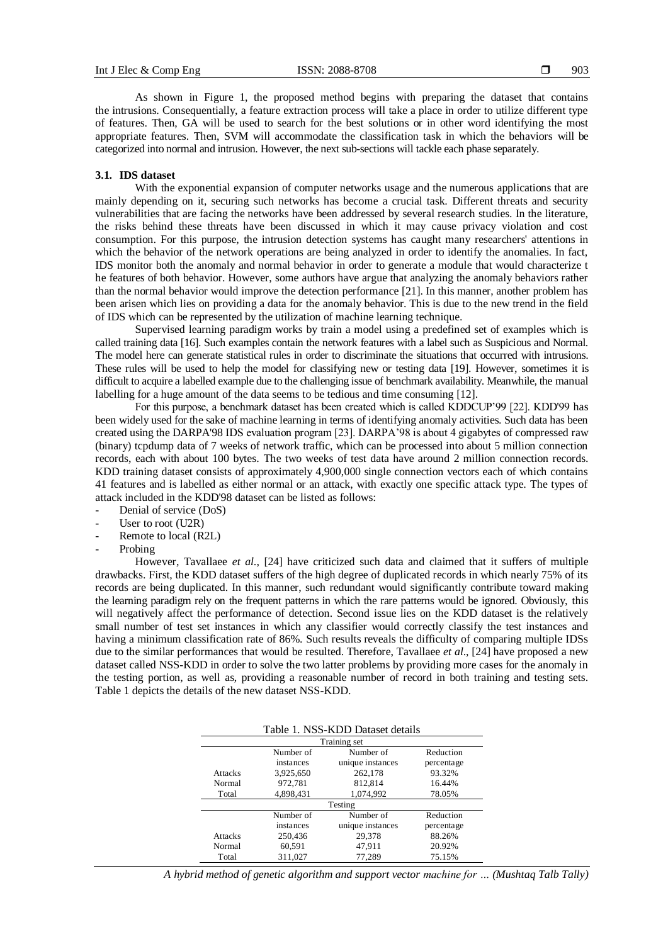As shown in Figure 1, the proposed method begins with preparing the dataset that contains the intrusions. Consequentially, a feature extraction process will take a place in order to utilize different type of features. Then, GA will be used to search for the best solutions or in other word identifying the most appropriate features. Then, SVM will accommodate the classification task in which the behaviors will be categorized into normal and intrusion. However, the next sub-sections will tackle each phase separately.

#### **3.1. IDS dataset**

With the exponential expansion of computer networks usage and the numerous applications that are mainly depending on it, securing such networks has become a crucial task. Different threats and security vulnerabilities that are facing the networks have been addressed by several research studies. In the literature, the risks behind these threats have been discussed in which it may cause privacy violation and cost consumption. For this purpose, the intrusion detection systems has caught many researchers' attentions in which the behavior of the network operations are being analyzed in order to identify the anomalies. In fact, IDS monitor both the anomaly and normal behavior in order to generate a module that would characterize t he features of both behavior. However, some authors have argue that analyzing the anomaly behaviors rather than the normal behavior would improve the detection performance [21]. In this manner, another problem has been arisen which lies on providing a data for the anomaly behavior. This is due to the new trend in the field of IDS which can be represented by the utilization of machine learning technique.

Supervised learning paradigm works by train a model using a predefined set of examples which is called training data [16]. Such examples contain the network features with a label such as Suspicious and Normal. The model here can generate statistical rules in order to discriminate the situations that occurred with intrusions. These rules will be used to help the model for classifying new or testing data [19]. However, sometimes it is difficult to acquire a labelled example due to the challenging issue of benchmark availability. Meanwhile, the manual labelling for a huge amount of the data seems to be tedious and time consuming [12].

For this purpose, a benchmark dataset has been created which is called KDDCUP'99 [22]. KDD'99 has been widely used for the sake of machine learning in terms of identifying anomaly activities. Such data has been created using the DARPA'98 IDS evaluation program [23]. DARPA'98 is about 4 gigabytes of compressed raw (binary) tcpdump data of 7 weeks of network traffic, which can be processed into about 5 million connection records, each with about 100 bytes. The two weeks of test data have around 2 million connection records. KDD training dataset consists of approximately 4,900,000 single connection vectors each of which contains 41 features and is labelled as either normal or an attack, with exactly one specific attack type. The types of attack included in the KDD'98 dataset can be listed as follows:

- Denial of service (DoS)
- User to root (U2R)
- Remote to local (R2L)
- Probing

However, Tavallaee *et al*., [24] have criticized such data and claimed that it suffers of multiple drawbacks. First, the KDD dataset suffers of the high degree of duplicated records in which nearly 75% of its records are being duplicated. In this manner, such redundant would significantly contribute toward making the learning paradigm rely on the frequent patterns in which the rare patterns would be ignored. Obviously, this will negatively affect the performance of detection. Second issue lies on the KDD dataset is the relatively small number of test set instances in which any classifier would correctly classify the test instances and having a minimum classification rate of 86%. Such results reveals the difficulty of comparing multiple IDSs due to the similar performances that would be resulted. Therefore, Tavallaee *et al*., [24] have proposed a new dataset called NSS-KDD in order to solve the two latter problems by providing more cases for the anomaly in the testing portion, as well as, providing a reasonable number of record in both training and testing sets. Table 1 depicts the details of the new dataset NSS-KDD.

|                |           | Table 1. NSS-KDD Dataset details |            |  |
|----------------|-----------|----------------------------------|------------|--|
| Training set   |           |                                  |            |  |
|                | Number of | Number of                        | Reduction  |  |
|                | instances | unique instances                 | percentage |  |
| <b>Attacks</b> | 3,925,650 | 262,178                          | 93.32%     |  |
| Normal         | 972,781   | 812,814                          | 16.44%     |  |
| Total          | 4,898,431 | 1,074,992                        | 78.05%     |  |
| Testing        |           |                                  |            |  |
|                | Number of | Number of                        | Reduction  |  |
|                | instances | unique instances                 | percentage |  |
| <b>Attacks</b> | 250,436   | 29,378                           | 88.26%     |  |
| Normal         | 60,591    | 47,911                           | 20.92%     |  |
| Total          | 311.027   | 77.289                           | 75.15%     |  |

*A hybrid method of genetic algorithm and support vector machine for … (Mushtaq Talb Tally)*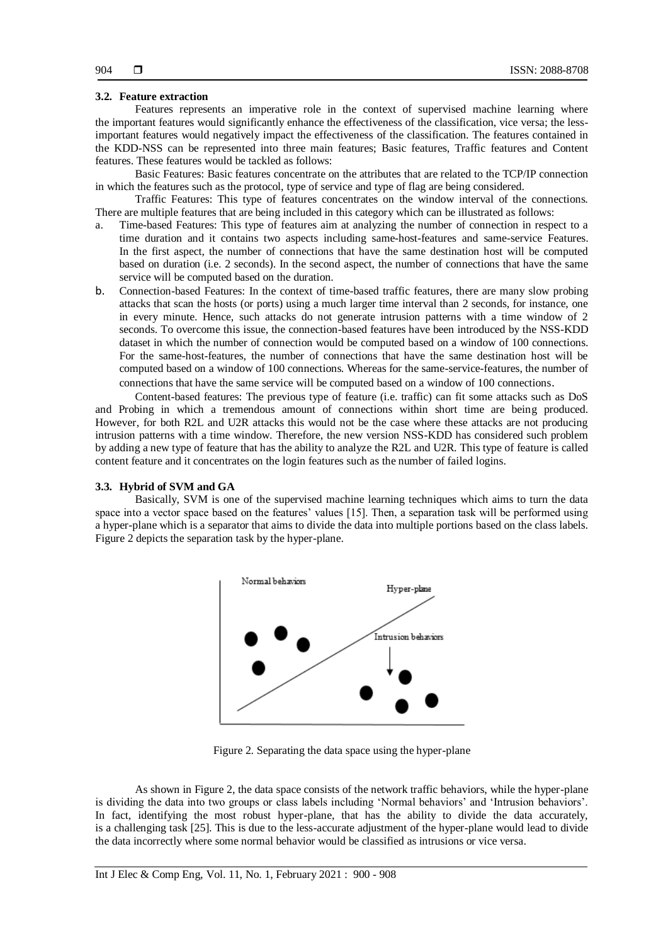## **3.2. Feature extraction**

Features represents an imperative role in the context of supervised machine learning where the important features would significantly enhance the effectiveness of the classification, vice versa; the lessimportant features would negatively impact the effectiveness of the classification. The features contained in the KDD-NSS can be represented into three main features; Basic features, Traffic features and Content features. These features would be tackled as follows:

Basic Features: Basic features concentrate on the attributes that are related to the TCP/IP connection in which the features such as the protocol, type of service and type of flag are being considered.

Traffic Features: This type of features concentrates on the window interval of the connections. There are multiple features that are being included in this category which can be illustrated as follows:

- a. Time-based Features: This type of features aim at analyzing the number of connection in respect to a time duration and it contains two aspects including same-host-features and same-service Features. In the first aspect, the number of connections that have the same destination host will be computed based on duration (i.e. 2 seconds). In the second aspect, the number of connections that have the same service will be computed based on the duration.
- b. Connection-based Features: In the context of time-based traffic features, there are many slow probing attacks that scan the hosts (or ports) using a much larger time interval than 2 seconds, for instance, one in every minute. Hence, such attacks do not generate intrusion patterns with a time window of 2 seconds. To overcome this issue, the connection-based features have been introduced by the NSS-KDD dataset in which the number of connection would be computed based on a window of 100 connections. For the same-host-features, the number of connections that have the same destination host will be computed based on a window of 100 connections. Whereas for the same-service-features, the number of connections that have the same service will be computed based on a window of 100 connections.

Content-based features: The previous type of feature (i.e. traffic) can fit some attacks such as DoS and Probing in which a tremendous amount of connections within short time are being produced. However, for both R2L and U2R attacks this would not be the case where these attacks are not producing intrusion patterns with a time window. Therefore, the new version NSS-KDD has considered such problem by adding a new type of feature that has the ability to analyze the R2L and U2R. This type of feature is called content feature and it concentrates on the login features such as the number of failed logins.

#### **3.3. Hybrid of SVM and GA**

Basically, SVM is one of the supervised machine learning techniques which aims to turn the data space into a vector space based on the features' values [15]. Then, a separation task will be performed using a hyper-plane which is a separator that aims to divide the data into multiple portions based on the class labels. Figure 2 depicts the separation task by the hyper-plane.



Figure 2. Separating the data space using the hyper-plane

As shown in Figure 2, the data space consists of the network traffic behaviors, while the hyper-plane is dividing the data into two groups or class labels including 'Normal behaviors' and 'Intrusion behaviors'. In fact, identifying the most robust hyper-plane, that has the ability to divide the data accurately, is a challenging task [25]. This is due to the less-accurate adjustment of the hyper-plane would lead to divide the data incorrectly where some normal behavior would be classified as intrusions or vice versa.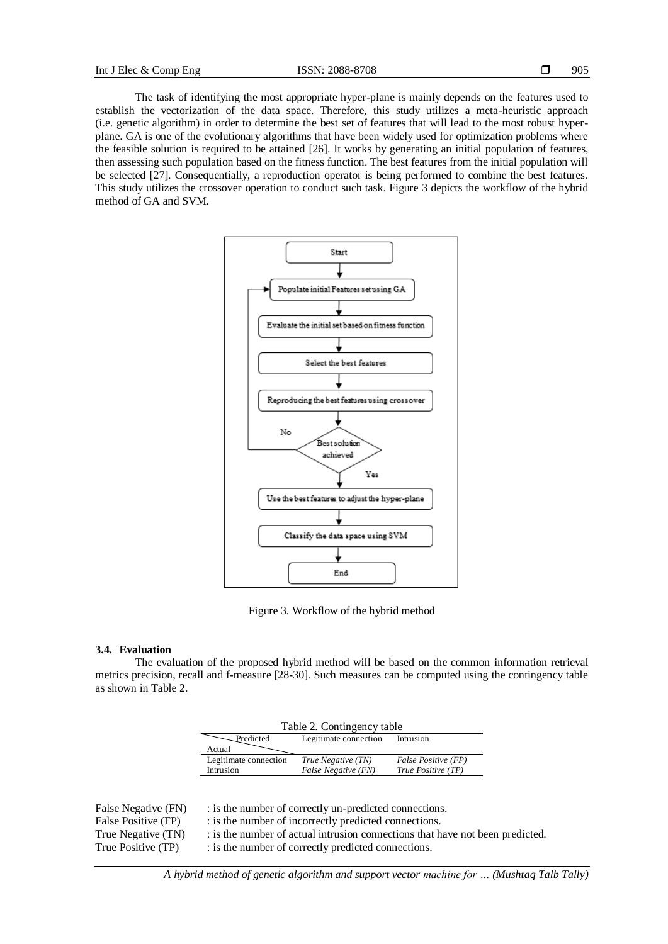The task of identifying the most appropriate hyper-plane is mainly depends on the features used to establish the vectorization of the data space. Therefore, this study utilizes a meta-heuristic approach (i.e. genetic algorithm) in order to determine the best set of features that will lead to the most robust hyperplane. GA is one of the evolutionary algorithms that have been widely used for optimization problems where the feasible solution is required to be attained [26]. It works by generating an initial population of features, then assessing such population based on the fitness function. The best features from the initial population will be selected [27]. Consequentially, a reproduction operator is being performed to combine the best features. This study utilizes the crossover operation to conduct such task. Figure 3 depicts the workflow of the hybrid method of GA and SVM.



Figure 3. Workflow of the hybrid method

# **3.4. Evaluation**

The evaluation of the proposed hybrid method will be based on the common information retrieval metrics precision, recall and f-measure [28-30]. Such measures can be computed using the contingency table as shown in Table 2.

| Table 2. Contingency table |                       |                     |  |  |
|----------------------------|-----------------------|---------------------|--|--|
| Predicted                  | Legitimate connection | Intrusion           |  |  |
| Actual                     |                       |                     |  |  |
| Legitimate connection      | True Negative (TN)    | False Positive (FP) |  |  |
| Intrusion                  | False Negative (FN)   | True Positive (TP)  |  |  |

| False Negative (FN) | : is the number of correctly un-predicted connections.                        |
|---------------------|-------------------------------------------------------------------------------|
| False Positive (FP) | : is the number of incorrectly predicted connections.                         |
| True Negative (TN)  | : is the number of actual intrusion connections that have not been predicted. |
| True Positive (TP)  | : is the number of correctly predicted connections.                           |
|                     |                                                                               |

*A hybrid method of genetic algorithm and support vector machine for … (Mushtaq Talb Tally)*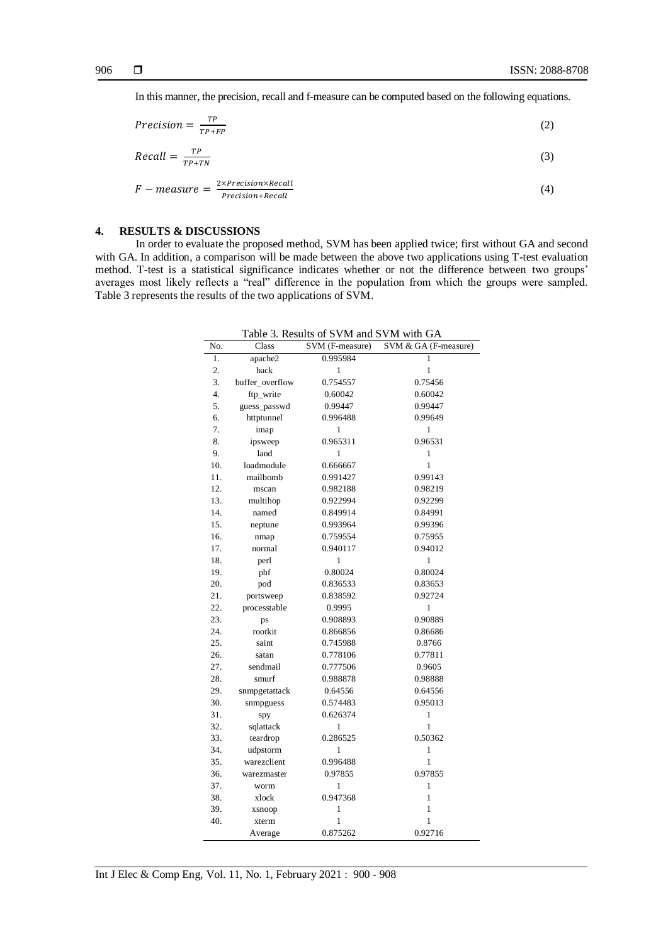In this manner, the precision, recall and f-measure can be computed based on the following equations.

$$
Precision = \frac{TP}{TP + FP}
$$
 (2)

$$
Recall = \frac{TP}{TP + TN} \tag{3}
$$

$$
F-measure = \frac{2 \times Precision \times Recall}{Precision + Recall}
$$
 (4)

# **4. RESULTS & DISCUSSIONS**

In order to evaluate the proposed method, SVM has been applied twice; first without GA and second with GA. In addition, a comparison will be made between the above two applications using T-test evaluation method. T-test is a statistical significance indicates whether or not the difference between two groups' averages most likely reflects a "real" difference in the population from which the groups were sampled. Table 3 represents the results of the two applications of SVM.

| No. | Class           | SVM (F-measure) | SVM & GA (F-measure) |
|-----|-----------------|-----------------|----------------------|
| 1.  | apache2         | 0.995984        |                      |
| 2.  | back            | $\mathbf{1}$    | $\mathbf{1}$         |
| 3.  | buffer_overflow | 0.754557        | 0.75456              |
| 4.  | ftp_write       | 0.60042         | 0.60042              |
| 5.  | guess_passwd    | 0.99447         | 0.99447              |
| 6.  | httptunnel      | 0.996488        | 0.99649              |
| 7.  | imap            | 1               | 1                    |
| 8.  | ipsweep         | 0.965311        | 0.96531              |
| 9.  | land            | 1               | 1                    |
| 10. | loadmodule      | 0.666667        | $\mathbf{1}$         |
| 11. | mailbomb        | 0.991427        | 0.99143              |
| 12. | mscan           | 0.982188        | 0.98219              |
| 13. | multihop        | 0.922994        | 0.92299              |
| 14. | named           | 0.849914        | 0.84991              |
| 15. | neptune         | 0.993964        | 0.99396              |
| 16. | nmap            | 0.759554        | 0.75955              |
| 17. | normal          | 0.940117        | 0.94012              |
| 18. | perl            | 1               | 1                    |
| 19. | phf             | 0.80024         | 0.80024              |
| 20. | pod             | 0.836533        | 0.83653              |
| 21. | portsweep       | 0.838592        | 0.92724              |
| 22. | processtable    | 0.9995          | 1                    |
| 23. | ps              | 0.908893        | 0.90889              |
| 24. | rootkit         | 0.866856        | 0.86686              |
| 25. | saint           | 0.745988        | 0.8766               |
| 26. | satan           | 0.778106        | 0.77811              |
| 27. | sendmail        | 0.777506        | 0.9605               |
| 28. | smurf           | 0.988878        | 0.98888              |
| 29. | snmpgetattack   | 0.64556         | 0.64556              |
| 30. | snmpguess       | 0.574483        | 0.95013              |
| 31. | spy             | 0.626374        | 1                    |
| 32. | sqlattack       | 1               | 1                    |
| 33. | teardrop        | 0.286525        | 0.50362              |
| 34. | udpstorm        | 1               | 1                    |
| 35. | warezclient     | 0.996488        | 1                    |
| 36. | warezmaster     | 0.97855         | 0.97855              |
| 37. | worm            | $\mathbf{1}$    | 1                    |
| 38. | xlock           | 0.947368        | 1                    |
| 39. | xsnoop          | 1               | 1                    |
| 40. | xterm           | 1               | 1                    |
|     | Average         | 0.875262        | 0.92716              |

Table 3. Results of SVM and SVM with GA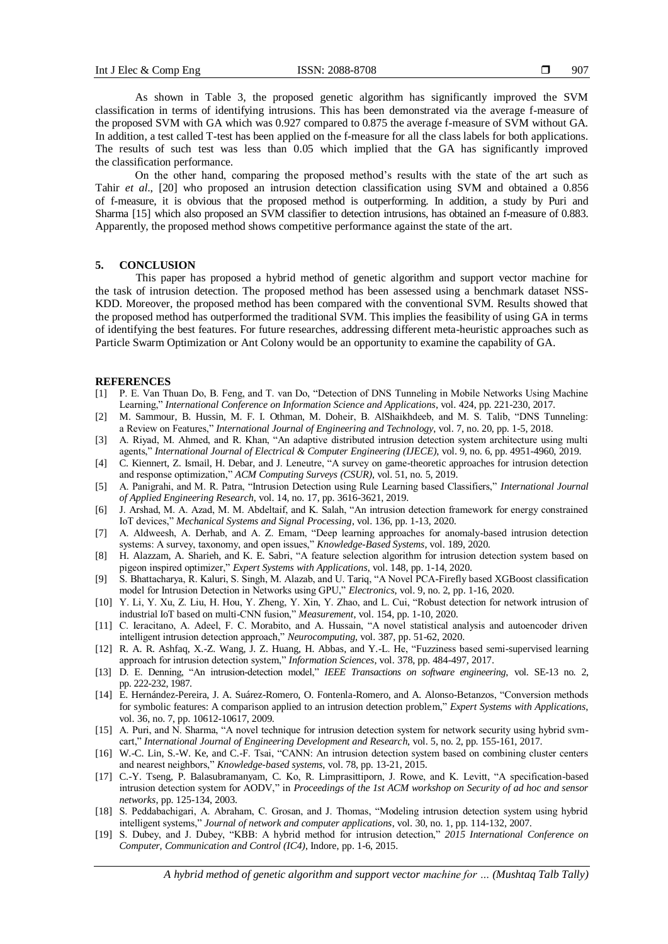As shown in Table 3, the proposed genetic algorithm has significantly improved the SVM classification in terms of identifying intrusions. This has been demonstrated via the average f-measure of the proposed SVM with GA which was 0.927 compared to 0.875 the average f-measure of SVM without GA. In addition, a test called T-test has been applied on the f-measure for all the class labels for both applications. The results of such test was less than 0.05 which implied that the GA has significantly improved the classification performance.

On the other hand, comparing the proposed method's results with the state of the art such as Tahir *et al*., [20] who proposed an intrusion detection classification using SVM and obtained a 0.856 of f-measure, it is obvious that the proposed method is outperforming. In addition, a study by Puri and Sharma [15] which also proposed an SVM classifier to detection intrusions, has obtained an f-measure of 0.883. Apparently, the proposed method shows competitive performance against the state of the art.

# **5. CONCLUSION**

This paper has proposed a hybrid method of genetic algorithm and support vector machine for the task of intrusion detection. The proposed method has been assessed using a benchmark dataset NSS-KDD. Moreover, the proposed method has been compared with the conventional SVM. Results showed that the proposed method has outperformed the traditional SVM. This implies the feasibility of using GA in terms of identifying the best features. For future researches, addressing different meta-heuristic approaches such as Particle Swarm Optimization or Ant Colony would be an opportunity to examine the capability of GA.

#### **REFERENCES**

- [1] P. E. Van Thuan Do, B. Feng, and T. van Do, "Detection of DNS Tunneling in Mobile Networks Using Machine Learning," *International Conference on Information Science and Applications*, vol. 424, pp. 221-230, 2017.
- [2] M. Sammour, B. Hussin, M. F. I. Othman, M. Doheir, B. AlShaikhdeeb, and M. S. Talib, "DNS Tunneling: a Review on Features," *International Journal of Engineering and Technology*, vol. 7, no. 20, pp. 1-5, 2018.
- [3] A. Riyad, M. Ahmed, and R. Khan, "An adaptive distributed intrusion detection system architecture using multi agents," *International Journal of Electrical & Computer Engineering (IJECE)*, vol. 9, no. 6, pp. 4951-4960, 2019.
- [4] C. Kiennert, Z. Ismail, H. Debar, and J. Leneutre, "A survey on game-theoretic approaches for intrusion detection and response optimization," *ACM Computing Surveys (CSUR)*, vol. 51, no. 5, 2019.
- [5] A. Panigrahi, and M. R. Patra, "Intrusion Detection using Rule Learning based Classifiers," *International Journal of Applied Engineering Research*, vol. 14, no. 17, pp. 3616-3621, 2019.
- [6] J. Arshad, M. A. Azad, M. M. Abdeltaif, and K. Salah, "An intrusion detection framework for energy constrained IoT devices," *Mechanical Systems and Signal Processing*, vol. 136, pp. 1-13, 2020.
- [7] A. Aldweesh, A. Derhab, and A. Z. Emam, "Deep learning approaches for anomaly-based intrusion detection systems: A survey, taxonomy, and open issues," *Knowledge-Based Systems*, vol. 189, 2020.
- [8] H. Alazzam, A. Sharieh, and K. E. Sabri, "A feature selection algorithm for intrusion detection system based on pigeon inspired optimizer," *Expert Systems with Applications*, vol. 148, pp. 1-14, 2020.
- [9] S. Bhattacharya, R. Kaluri, S. Singh, M. Alazab, and U. Tariq, "A Novel PCA-Firefly based XGBoost classification model for Intrusion Detection in Networks using GPU," *Electronics*, vol. 9, no. 2, pp. 1-16, 2020.
- [10] Y. Li, Y. Xu, Z. Liu, H. Hou, Y. Zheng, Y. Xin, Y. Zhao, and L. Cui, "Robust detection for network intrusion of industrial IoT based on multi-CNN fusion," *Measurement*, vol. 154, pp. 1-10, 2020.
- [11] C. Ieracitano, A. Adeel, F. C. Morabito, and A. Hussain, "A novel statistical analysis and autoencoder driven intelligent intrusion detection approach," *Neurocomputing*, vol. 387, pp. 51-62, 2020.
- [12] R. A. R. Ashfaq, X.-Z. Wang, J. Z. Huang, H. Abbas, and Y.-L. He, "Fuzziness based semi-supervised learning approach for intrusion detection system," *Information Sciences*, vol. 378, pp. 484-497, 2017.
- [13] D. E. Denning, "An intrusion-detection model," *IEEE Transactions on software engineering*, vol. SE-13 no. 2, pp. 222-232, 1987.
- [14] E. Hernández-Pereira, J. A. Suárez-Romero, O. Fontenla-Romero, and A. Alonso-Betanzos, "Conversion methods for symbolic features: A comparison applied to an intrusion detection problem," *Expert Systems with Applications*, vol. 36, no. 7, pp. 10612-10617, 2009.
- [15] A. Puri, and N. Sharma, "A novel technique for intrusion detection system for network security using hybrid svmcart," *International Journal of Engineering Development and Research*, vol. 5, no. 2, pp. 155-161, 2017.
- [16] W.-C. Lin, S.-W. Ke, and C.-F. Tsai, "CANN: An intrusion detection system based on combining cluster centers and nearest neighbors," *Knowledge-based systems*, vol. 78, pp. 13-21, 2015.
- [17] C.-Y. Tseng, P. Balasubramanyam, C. Ko, R. Limprasittiporn, J. Rowe, and K. Levitt, "A specification-based intrusion detection system for AODV," in *Proceedings of the 1st ACM workshop on Security of ad hoc and sensor networks*, pp. 125-134, 2003.
- [18] S. Peddabachigari, A. Abraham, C. Grosan, and J. Thomas, "Modeling intrusion detection system using hybrid intelligent systems," *Journal of network and computer applications*, vol. 30, no. 1, pp. 114-132, 2007.
- [19] S. Dubey, and J. Dubey, "KBB: A hybrid method for intrusion detection," *2015 International Conference on Computer, Communication and Control (IC4)*, Indore, pp. 1-6, 2015.